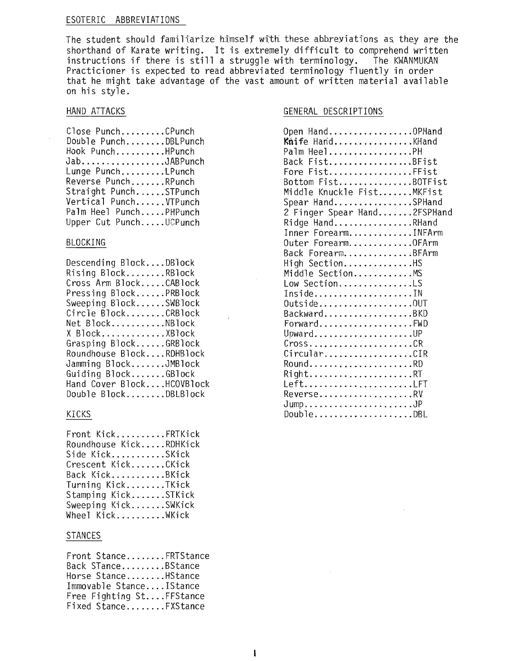### ESOTERIC ABBREVIATIONS

The student should familiarize himself with these abbreyiations as they are the shorthand of Karate writing. It is extremely difficult to comprehend written instructions if there is still a struggle with terminology. The KWANMUKAN Practicioner is expected to read abbreviated terminology fluently in order that he might take advantage of the vast amount of written material available on his style.

### HAND ATTACKS

| Close PunchCPunch      |
|------------------------|
| Double PunchDBLPunch   |
| Hook PunchHPunch       |
| JabJABPunch            |
| Lunge PunchLPunch      |
| Reverse PunchRPunch    |
| Straight PunchSTPunch  |
| Vertical PunchVTPunch  |
| Palm Heel PunchPHPunch |
| Upper Cut PunchUCPunch |

#### BLOCKING

Descending Block....DBlock Rising Block........RBlock Cross Arm Block.....CABlock Pressing Block......PRBlock Sweeping Block......SWBlock  $Circle$   $Block$ ....... $CRBlock$ Net Block...........NBlock X Block............XBlock Grasping Block......GRBlock Roundhouse Block....RDHBlock Jamming Block.......JMBlock Guiding Block.......GBlock Hand Cover Block....HCOVBlock Double Block.......DBLBlock

### KICKS

| Front KickFRTKick      |  |
|------------------------|--|
| Roundhouse KickRDHKick |  |
| Side KickSKick         |  |
| Crescent KickCKick     |  |
| Back KickBKick         |  |
| Turning KickTKick      |  |
| Stamping KickSTKick    |  |
| Sweeping KickSWKick    |  |
| Wheel KickWKick        |  |

#### STANCES

| Front StanceFRTStance    |  |
|--------------------------|--|
| Back STanceBStance       |  |
| Horse StanceHStance      |  |
| Immovable StanceIStance  |  |
| Free Fighting StFFStance |  |
| Fixed StanceFXStance     |  |

### GENERAL DESCRIPTIONS

| Open HandOPHand             |
|-----------------------------|
| Knife HandKHand             |
| Palm HeelPH                 |
| Back FistBFist              |
| Fore FistFFist              |
| Bottom FistBOTFist          |
| Middle Knuckle FistMKFist   |
| Spear HandSPHand            |
| 2 Finger Spear Hand2FSPHand |
| Ridge HandRHand             |
| Inner ForearmINFArm         |
| Outer ForearmOFArm          |
| Back ForearmBFArm           |
| High SectionHS              |
| Middle SectionMS            |
| Low SectionLS               |
| InsideIN                    |
| 0utside0UT                  |
| BackwardBKD                 |
| ForwardFWD                  |
| UpwardUP                    |
| $Cross$ CR                  |
| CircularCIR                 |
| RoundRD                     |
| RightRT                     |
| LeftLFT                     |
| ReverseRV                   |
|                             |
| DoubleDBL                   |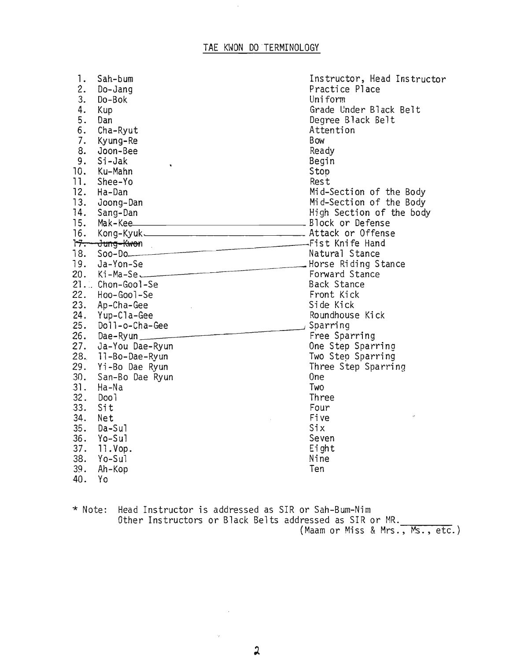| 1.  | Sah-bum                                 | Instructor, Head Instructor |
|-----|-----------------------------------------|-----------------------------|
| 2.  | Do-Jang                                 | Practice Place              |
| 3.  | Do-Bok                                  | Uniform                     |
| 4.  | Kup                                     | Grade Under Black Belt      |
| 5.  | Dan                                     | Degree Black Belt           |
| 6.  | Cha-Ryut                                | Attention                   |
| 7.  | Kyung-Re                                | <b>Bow</b>                  |
| 8.  | Joon-Bee                                | Ready                       |
| 9.  | Si-Jak<br>$\bullet$                     | Begin                       |
| 10. | Ku-Mahn                                 | Stop                        |
| 11. | Shee-Yo                                 | Rest                        |
| 12. | Ha-Dan                                  | Mid-Section of the Body     |
| 13. | Joong-Dan                               | Mid-Section of the Body     |
| 14. | Sang-Dan                                | High Section of the body    |
| 15. | Mak-Kee                                 |                             |
| 16. | Kong-Kyuk. Manus Attack or Offense      |                             |
|     |                                         |                             |
| 18. | 1 <del>7. Jung-Kwon</del><br>18. Soo-Do |                             |
|     | Morse Riding Stance<br>20. Ki-Ma-Se     |                             |
|     |                                         |                             |
|     | 21. Chon-Gool-Se                        | <b>Back Stance</b>          |
| 22. | Hoo-Gool-Se                             | Front Kick                  |
|     | 23. Ap-Cha-Gee                          | Side Kick                   |
|     | 24. Yup-Cla-Gee                         | Roundhouse Kick             |
| 25. | Doll-o-Cha-Gee                          | , Sparring                  |
|     | 26. Dae-Ryun                            | Free Sparring               |
|     | 27. Ja-You Dae-Ryun                     | One Step Sparring           |
|     | 28. 11-Bo-Dae-Ryun                      | Two Step Sparring           |
| 29. | Yi-Bo Dae Ryun                          | Three Step Sparring         |
| 30. | San-Bo Dae Ryun                         | 0 <sub>ne</sub>             |
| 31. | Ha-Na                                   | Two                         |
| 32. | Doo 1                                   | Three                       |
| 33. | Sit                                     | Four                        |
| 34. | Net                                     | Five<br>ò                   |
| 35. | Da-Sul                                  | Six                         |
| 36. | Yo-Sul                                  | Seven                       |
| 37. | 11.Vop.                                 | Eight                       |
| 38. | Yo-Sul                                  | Nine                        |
| 39. | Ah-Kop                                  | Ten                         |
| 40. | Yo                                      |                             |

\* Note: Head Instructor is addressed as SIR or Sah-Bum-Nim Other Instructors or Black Belts addressed as SIR or MR. (Maam or Miss & Mrs., Ms., etc.)

 $\sim$   $\sim$ 

 $\sim$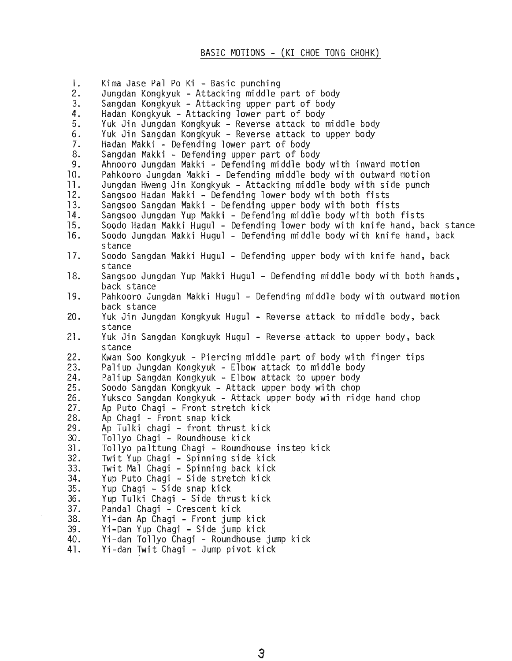### BASIC MOTIONS - (KI CHOE TONG CHOHK)

1. Kima Jase Pal Po Ki - Basic punching<br>2. Jungdan Kongkyuk - Attacking middle 2. Jungdan Kongkyuk - Attacking middle part of body 3. Sangdan Kongkyuk - Attacking upper part of body<br>4. Hadan Kongkyuk - Attacking lower part of body 4. Hadan Kongkyuk - Attacking lower part of body<br>5. Yuk Jin Jungdan Kongkyuk - Reverse attack to I Yuk Jin Jungdan Kongkyuk - Reverse attack to middle body 6. Yuk Jin Sangdan Kongkyuk - Reverse attack to upper body 7. Hadan Makki - Defending lower part of body<br>8. Sangdan Makki - Defending upper part of boo 8. Sangdan Makki - Defending upper part of body 9. Ahnooro Jungdan Makki - Defending middle body with inward motion 10. Pahkooro Jungdan Makki - Defending middle body with outward motion<br>11. Jungdan Hweng Jin Kongkyuk - Attacking middle body with side punch 11. Jungdan Hweng Jin Kongkyuk - Attacking middle body with side punch<br>12. Sangsoo Hadan Makki - Defending lower body with both fists 12. Sangsoo Hadan Makki - Defending lower body with both fists<br>13. Sangsoo Sangdan Makki - Defending upper body with both fis 13. Sangsoo Sangdan Makki - Defending upper body with both fists<br>14. Sangsoo Jungdan Yup Makki - Defending middle body with both 14. Sangsoo Jungdan Yup Makki - Defending middle body with both fists<br>15. Soodo Hadan Makki Hugul - Defending lower body with knife hand, b 15. Soodo Hadan Makki Hugu1 - Defending lower body with knife hand, back stance 16. Soodo Jungdan Makki Hugu1 - Defending middle body with knife hand, back stance 17. Soodo Sangdan Makki Hugu1 - Defending upper body with knife hand, back stance 18. Sangsoo Jungdan Yup Makki Hugu1 - Defending middle body with both hands, back stance 19. Pahkooro Jungdan Makki Hugu1 - Defending middle body with outward motion back stance 20. Yuk Jin Jungdan Kongkyuk Hugu1 - Reverse attack to middle body, back stance 21. Yuk Jin Sangdan Kongkuyk Hugul - Reverse attack to upper body, back stance 22. Kwan Soo Kongkyuk - Piercing middle part of body with finger tips 23. Pa1iup Jungdan Kongkyuk - Elbow attack to middle body 24. Pa1iup Sangdan Kongkyuk - Elbow attack to upper body 25. Soodo Sangdan Kongkyuk - Attack upper body with chop<br>26. Yuksco Sangdan Kongkyuk - Attack upper body with rid Yuksco Sangdan Kongkyuk - Attack upper body with ridge hand chop 27. Ap Puto Chagi – Front stretch kick<br>28. Ap Chagi – Front snap kick 28. Ap Chagi - Front snap kick<br>29. Ap Tulki chagi - front thr 29. Ap Tu1ki chagi - front thrust kick 30. Tollyo Chagi - Roundhouse kick<br>31. Tollyo palttung Chagi - Roundho 31. To11yo pa1ttung Chagi - Roundhouse instep kick 32. Twit Yup Chagi - Spinning side kick 33. Twit Mal Chagi - Spinning back kick 34. Yup Puto Chagi - Side stretch kick Yup Chagi - Side snap kick 36. Yup Tu1ki Chagi - Side thrust kick 37. Panda1 Chagi - Crescent kick 38. Vi-dan Ap Chagi - Front jump kick 39. Vi-Dan Yup Chagi - Side jump kick 40. Vi-dan To11yo Chagi - Roundhouse jump kick 41. Vi-dan Iwit Chagi - Jump pivot kick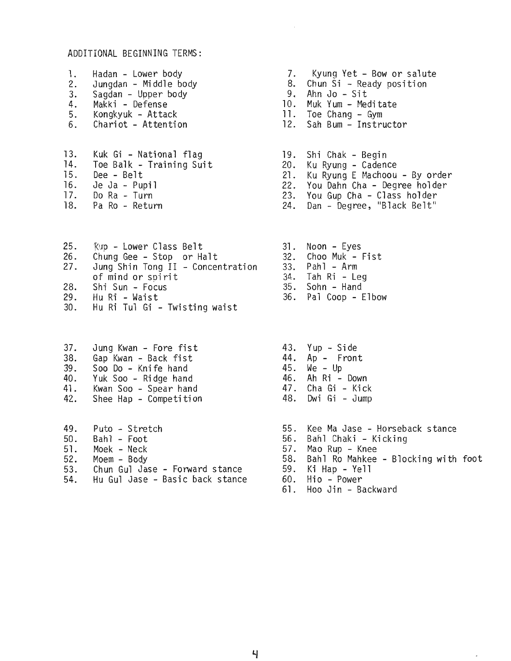### ADDITIONAL BEGINNING TERMS:

- 1. Hadan Lower body<br>2. Jungdan Middle bo 2. Jungdan - Middle body 3. Sagdan - Upper body
- 4. Makki Defense
- 5. Kongkyuk Attack
- 6. Chariot Attention
- 13. Kuk Gi National flag<br>14. Toe Balk Training Sui 14. Toe Balk - Training Suit.<br>15. Dee - Belt 15. Dee - Belt 16. Je Ja - Pupil<br>17. Do Ra - Turn 17. Do Ra - Turn<br>18. Pa Ro - Retur Pa Ro - Return
- 
- 25. Kup Lower Class Belt<br>26. Chung Gee Stop or Ha 26. Chung Gee - Stop or Halt<br>27. Jung Shin Tong II - Concer Jung Shin Tong II - Concentration of mind or spirit 28. Shi Sun - Focus<br>29. Hu Ri - Waist 29. Hu Ri - Waist 30. Hu Ri Tu1 Gi - TWisting waist
- 37. Jung Kwan Fore fist 43. Yup Side
- 38. Gap Kwan Back fist 44. Ap Front
- 
- 
- 38. Gap Kwan Back fist<br>39. Soo Do Knife hand 44. Ap Front<br>40. Yuk Soo Ridge hand 45. We Up<br>40. Yuk Soo Ridge hand 46. Ah Ri Down<br>41. Kwan Soo Spear hand 47. Cha Gi Kick 40. Yuk Soo - Ridge hand 46. Ah Ri - Down<br>41. Kwan Soo - Spear hand 47. Cha Gi - Kick<br>42. Shee Hap - Competition 48. Dwi Gi - Jump
- Shee Hap Competition
- 49. Puto Stretch and Stree Ma Jase Horseback stance<br>50. Bahl Foot Channel Stree Standard Street Standard Standard Street Standard Standard Street Standard Street 50. Bah1 - Foot 56. Bah1 Chaki - Kicking 5l. Moek - Neck 57. Mao Rup - Knee 52. Moem - Body 58. Bah1 Ro Mahkee - Blocking with foot
- 53. Chun Gul Jase Forward stance<br>54. Hu Gul Jase Basic back stance Hu Gul Jase - Basic back stance
- 7. Kyung Yet Bow or salute
- 8. Chun Si Ready position<br>9. Ahn Jo Sit<br>10. Muk Yum Meditate
- 
- 
- 11. Toe Chang Gym<br>12. Sah Bum Instr
- Sah Bum Instructor
- 19. Shi Chak Begin
- 20. Ku Ryung Cadence
- 21. Ku Ryung E Machoou By order
- 22. You Dahn Cha Degree holder
- 23. You Gup Cha Class holder
- 24. Dan Degree, "Black Belt"
- 31. Noon Eyes 32. Choo Muk - Fist
- 33. Pahl Arm
- 34. Tah Ri Leg
- 35. Sohn Hand
- 36. Pal Coop Elbow
- 
- 
- 
- 
- 
- 
- 
- 
- 
- 
- 
- 
- 60. Hio Power<br>61. Hoo Jin Backward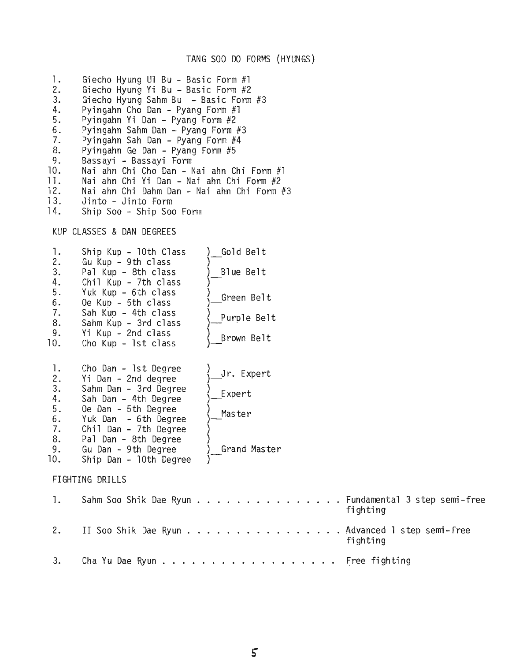### TANG SOO DO FORMS (HYUNGS)

1. Giecho Hyung Ul Bu - Basic Form #1<br>2. Giecho Hyung Yi Bu - Basic Form #2 2. Giecho Hyung Yi Bu - Basic Form #2<br>3. Giecho Hyung Sahm Bu - Basic Form 3. Giecho Hyung Sahm Bu - Basic Form #3<br>4. Pyingahn Cho Dan - Pyang Form #1 4. Pyi ngahn Cho Dan - Pyang Form #1 5. Pyingahn Yi Dan - Pyang Form #2 6. Pyingahn Sahm Dan - Pyang Form #3<br>7. Pyingahn Sah Dan - Pyang Form #4 7. Pyingahn Sah Dan - Pyang Form #4 8. Pyingahn Ge Dan - Pyang Form #5 9. Bassayi - Bassayi Form<br>10. Nai ahn Chi Cho Dan - N 10. Nai ahn Chi Cho Dan - Nai ahn Chi Form #1 11. Nai ahn Chi Yi Dan - Nai ahn Chi Form #2 12. Nai ahn Chi Dahm Dan - Nai ahn Chi Form #3<br>13. Jinto - Jinto Form 13. Jinto - Jinto Form<br>14. Ship Soo - Ship Soo Ship Soo - Ship Soo Form

KUP CLASSES & DAN DEGREES

| 1.<br>2.<br>3.<br>4.<br>5.<br>6.<br>7.<br>8.<br>9.<br>10. | Ship Kup - 10th Class<br>Gu Kup - 9th class<br>Pal Kup - 8th class<br>Chil Kup - 7th class<br>Yuk Kup - 6th class<br>Oe Kup - 5th class<br>Sah Kup - 4th class<br>Sahm Kup - 3rd class<br>Yi Kup - 2nd class<br>Cho Kup - 1st class           | Gold Belt<br>Blue Belt<br>Green Belt<br>Purple Belt<br>Brown Belt |                                            |
|-----------------------------------------------------------|-----------------------------------------------------------------------------------------------------------------------------------------------------------------------------------------------------------------------------------------------|-------------------------------------------------------------------|--------------------------------------------|
| 1.<br>2.<br>3.<br>4.<br>5.<br>6.<br>7.<br>8.<br>9.<br>10. | Cho Dan - 1st Degree<br>Yi Dan - 2nd degree<br>Sahm Dan - 3rd Degree<br>Sah Dan - 4th Degree<br>Oe Dan - 5th Degree<br>Yuk Dan - 6th Degree<br>Chil Dan - 7th Degree<br>Pal Dan - 8th Degree<br>Gu Dan - 9th Degree<br>Ship Dan - 10th Degree | Jr. Expert<br>Expert<br>Master<br>Grand Master                    |                                            |
|                                                           | FIGHTING DRILLS                                                                                                                                                                                                                               |                                                                   |                                            |
| $\mathbf{1}$ .                                            | Sahm Soo Shik Dae Ryun                                                                                                                                                                                                                        |                                                                   | . Fundamental 3 step semi-free<br>fighting |
| 2.                                                        | II Soo Shik Dae Ryun                                                                                                                                                                                                                          |                                                                   | . Advanced 1 step semi-free<br>fighting    |
| 3.                                                        |                                                                                                                                                                                                                                               |                                                                   | Free fighting                              |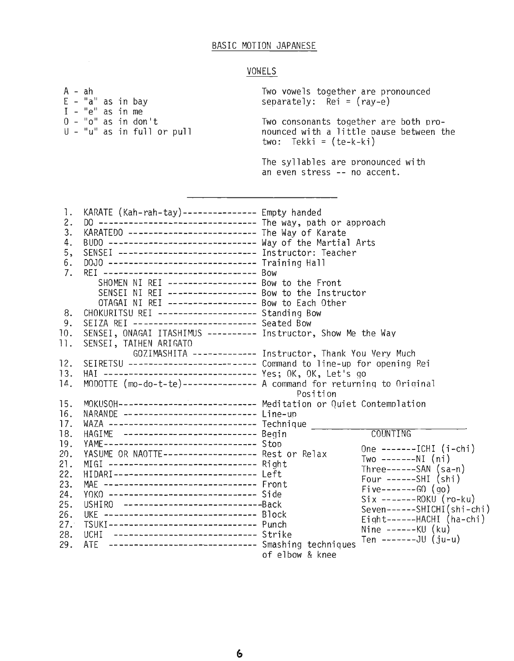### BASIC MOTION JAPANESE

### **VOWELS**

 $A - ah$ E - "a" as in bay  $I - "e"$  as in me  $0 - "o"$  as in don't  $U - "u"$  as in full or pull Two vowels together are pronounced separately: Rei = (ray-e) Two consonants together are both pronounced with a little pause between the two: Tekki <sup>=</sup> (te-k-ki) 12. 13.  $14.$ 8. 9. 10. 11. 15. 16. 17. 18. 19. 20. 2l. 22. 23. 24. 25. 26. 27. 28. 29. The syllables are pronounced with an even stress -- no accent. 1. KARATE (Kah-rah-tay)---------------- Empty handed<br>2. DO ------------------------------ The way, patl 2. DO -------------------------------- The way, path or approach<br>3. KARATEDO ------------------------- The Way of Karate 3. KARATEDO -------------------------- The Way of Karate<br>4. BUDO ---------------------------- Way of the Martia 4. BUDO ------------------------------ Way of the Martial Arts<br>5, SENSEI ------------------------- Instructor: Teacher 5, SENSEI ---------------------------- Instructor: Teacher<br>6. DOJO ----------------------------- Training Hall 6. DOJO ------------------------------ Training Hall<br>7. REI ------------------------------ Bow 7. REI ------------------------------- Bow SHOMEN NI REI ------------------ Bow to the Front SENSEI NI REI ------------------ Bow to the Instructor OTAGAI NI REI ------------------ Bow to Each Other CHOKURITSU REI -------------------- Standing Bow SEIZA REI ------------------------- Seated Bow SENSEI, ONAGAI ITASHIMUS ---------- Instructor, Show Me the Way SENSEI, TAIHEN ARIGATO GOZIMASHITA ------------ Instructor, Thank You Very Much SEIRETSU -------------------------- Command to line-up for opening Rei HAl ------------------------------- Yes; OK, OK, Let's go MODOTTE (mo-do-t-te)--------------- A command for returninq to Oriqinal Position MOKUSOH---------------------------- Meditation or Quiet Contemplation NARANDE --------------------------- Line-up WAZA ------------------------------ Technique \_\_\_\_\_\_\_\_\_\_\_\_\_\_\_\_\_\_\_\_\_\_\_\_\_\_\_\_\_\_\_\_\_\_<br>HAGIME ------------------------- Begin HAGIME -------------------------- Begin YAME------------------------------- Stop YASUME OR NAOTTE------------------- Rest or Relax One -------ICHI (i-chi) Two -------NI (ni) MIGI ------------------------------ Right Three------SAN (sa-n) HIDARI----------------------------- Left ( ) Four ------SHI shi MAE ------------------------------- Front Five-------GO (go) YOKO ------------------------------ Side Six -------ROKU (ro-ku) USHIRO ----------------------------Back Seven------SHICHI(shi-chi) TSUKI--------------------------------- BIOCK<br>TSUKI----------------------------- Punch<br>UCHI --------------------------- Strike<br>ATE --------------------------- - Smashing techniques Ten -------------------<br>of elbow & knee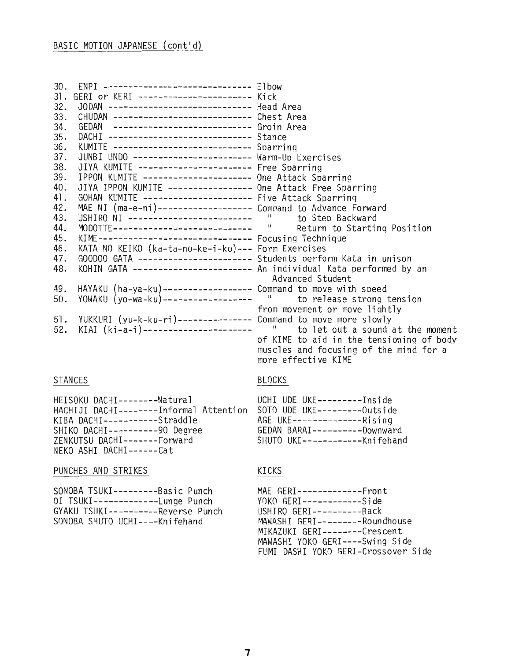| 30 <sub>1</sub><br>31.<br>32.<br>33.<br>34.<br>35.<br>36.<br>37.<br>38.<br>39.<br>40.<br>41.<br>42.<br>43.<br>44.<br>45.<br>46.<br>47.<br>48.<br>49.<br>50.<br>51.<br>52. | ENPI ----------------------------- Elbow<br>GERI or KERI ----------------------- Kick<br>JODAN --------------------------- Head Area<br>GEDAN -------------------------- Groin Area<br>DACHI ----------------------------- Stance<br>KUMITE ---------------------------- Sparring<br>JUNBI UNDO ----------------------- Warm-Up Exercises<br>JIYA KUMITE ---------------------- Free Sparring<br>IPPON KUMITE --------------------- One Attack Sparring<br>JIYA IPPON KUMITE ---------------- One Attack Free Sparring<br>GOHAN KUMITE --------------------- Five Attack Sparring<br>MAE NI (ma-e-ni)------------------- Command to Advance Forward<br>USHIRO NI -------------------------- "<br>MODOTTE---------------------------- "<br>KIME------------------------------ Focusing Technique<br>KATA NO KEIKO (ka-ta-no-ke-i-ko)--- Form Exercises<br>GOODOO GATA ---------------------- Students perform Kata in unison<br>KOHIN GATA ---------------------- An individual Kata performed by an<br>HAYAKU (ha-ya-ku)------------------ Command to move with speed<br>YOWAKU (yo-wa-ku)------------------ " to release strong<br>YUKKURI (yu-k-ku-ri)--------------- Command to move more slowly<br>KIAI (ki-a-i)---------------------- " to let out a sound | to Step Backward<br>Return to Starting Position<br>Advanced Student<br>to release strong tension<br>from movement or move lightly<br>to let out a sound at the moment<br>of KIME to aid in the tensioning of body<br>muscles and focusing of the mind for a<br>more effective KIME |
|---------------------------------------------------------------------------------------------------------------------------------------------------------------------------|-----------------------------------------------------------------------------------------------------------------------------------------------------------------------------------------------------------------------------------------------------------------------------------------------------------------------------------------------------------------------------------------------------------------------------------------------------------------------------------------------------------------------------------------------------------------------------------------------------------------------------------------------------------------------------------------------------------------------------------------------------------------------------------------------------------------------------------------------------------------------------------------------------------------------------------------------------------------------------------------------------------------------------------------------------------------------------------------------------------------------------------------------------------------------------------------------------------------------------------------------------------------|------------------------------------------------------------------------------------------------------------------------------------------------------------------------------------------------------------------------------------------------------------------------------------|
|---------------------------------------------------------------------------------------------------------------------------------------------------------------------------|-----------------------------------------------------------------------------------------------------------------------------------------------------------------------------------------------------------------------------------------------------------------------------------------------------------------------------------------------------------------------------------------------------------------------------------------------------------------------------------------------------------------------------------------------------------------------------------------------------------------------------------------------------------------------------------------------------------------------------------------------------------------------------------------------------------------------------------------------------------------------------------------------------------------------------------------------------------------------------------------------------------------------------------------------------------------------------------------------------------------------------------------------------------------------------------------------------------------------------------------------------------------|------------------------------------------------------------------------------------------------------------------------------------------------------------------------------------------------------------------------------------------------------------------------------------|

# **STANCES**

| HEISOKU DACHI--------Natural            |  |
|-----------------------------------------|--|
| HACHIJI DACHI--------Informal Attention |  |
| KIBA DACHI-----------Straddle           |  |
| SHIKO DACHI----------90 Degree          |  |
| ZENKUTSU DACHI-------Forward            |  |
| NEKO ASHI DACHI------Cat                |  |

# PUNCHES AND STRIKES

| SONOBA TSUKI---------Basic Punch   |
|------------------------------------|
| OI TSUKI-------------Lunge Punch   |
| GYAKU TSUKI----------Reverse Punch |
| SONOBA SHUTO UCHI----Knifehand     |

# **BLOCKS**

| UCHI UDE UKE---------Inside  |                               |
|------------------------------|-------------------------------|
| SOTO UDE UKE---------Outside |                               |
| AGE UKE--------------Rising  |                               |
|                              | GEDAN BARAI---------Downward  |
|                              | SHUTO UKE-----------Knifehand |
|                              |                               |

# KICKS

| MAE $GERI$ -------------Front       |
|-------------------------------------|
| YOKO GERI------------Side           |
| USHIRO GERI----------Back           |
| MAWASHI GERI--------Roundhouse      |
| MIKAZUKI GERI--------Crescent       |
| MAWASHI YOKO GERI----Swing Side     |
| FUMI DASHI YOKO GERI-Crossover Side |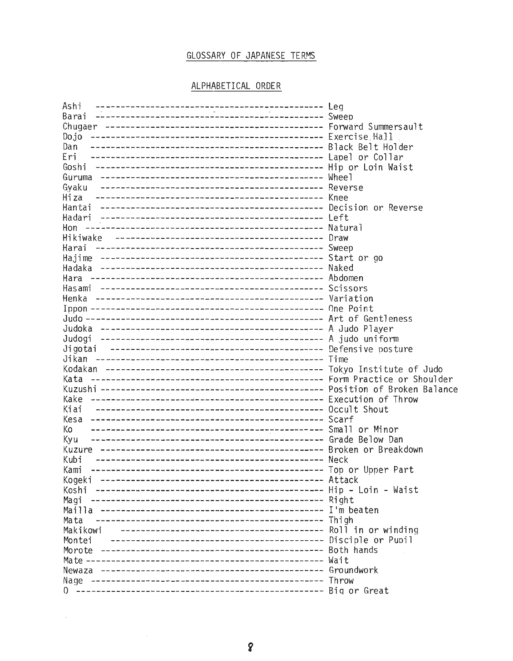# GLOSSARY OF JAPANESE TERMS

## ALPHABETICAL ORDER

| Dojo    |  |
|---------|--|
| Dan     |  |
| Eri     |  |
| Goshi   |  |
|         |  |
| Gyaku   |  |
| Hiza    |  |
|         |  |
|         |  |
| Hon     |  |
|         |  |
| Harai   |  |
|         |  |
|         |  |
|         |  |
|         |  |
|         |  |
|         |  |
|         |  |
|         |  |
|         |  |
| Jigotai |  |
|         |  |
|         |  |
|         |  |
|         |  |
|         |  |
|         |  |
|         |  |
| Ko      |  |
| Kyu     |  |
|         |  |
|         |  |
| Kami    |  |
| Kogeki  |  |
| Koshi   |  |
| Magi    |  |
|         |  |
| Mata    |  |
|         |  |
|         |  |
|         |  |
|         |  |
| Newaza  |  |
| Nage    |  |
| 0       |  |

 $\sim 10^{-1}$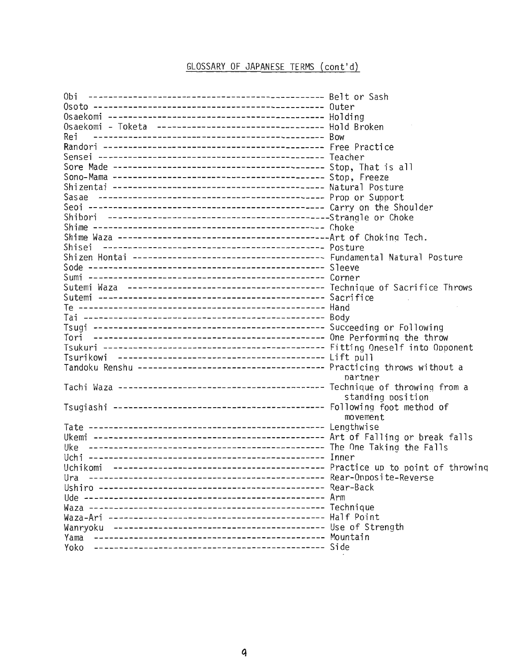# GLOSSARY OF JAPANESE TERMS (cont'd)

| Osaekomi - Toketa -------------------------------- Hold Broken |                   |
|----------------------------------------------------------------|-------------------|
| Rei                                                            |                   |
|                                                                |                   |
|                                                                |                   |
|                                                                |                   |
|                                                                |                   |
|                                                                |                   |
|                                                                |                   |
|                                                                |                   |
|                                                                |                   |
|                                                                |                   |
|                                                                |                   |
|                                                                |                   |
|                                                                |                   |
|                                                                |                   |
|                                                                |                   |
|                                                                |                   |
|                                                                |                   |
|                                                                |                   |
|                                                                |                   |
|                                                                |                   |
|                                                                |                   |
|                                                                |                   |
|                                                                |                   |
|                                                                |                   |
|                                                                |                   |
|                                                                | partner           |
|                                                                | standing position |
|                                                                |                   |
|                                                                | movement          |
|                                                                |                   |
|                                                                |                   |
|                                                                |                   |
|                                                                |                   |
|                                                                |                   |
| Ura                                                            |                   |
|                                                                |                   |
|                                                                |                   |
|                                                                |                   |
|                                                                |                   |
|                                                                |                   |
| Yama                                                           |                   |
|                                                                |                   |
|                                                                |                   |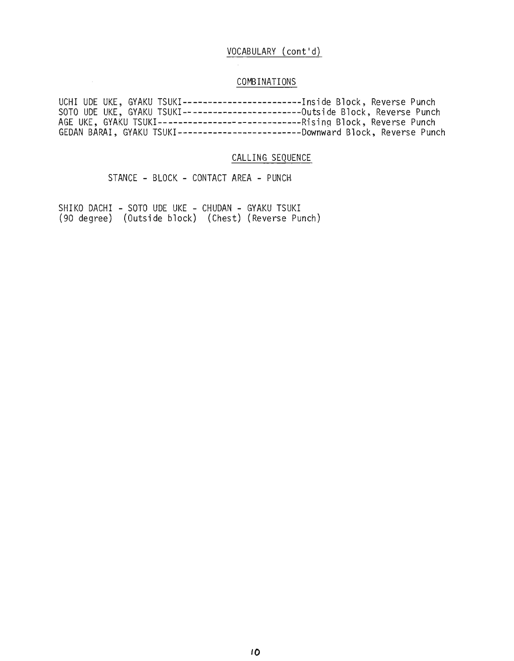## VOCABULARY (cont'd)

## COMBINATIONS

|  |  | UCHI UDE UKE, GYAKU TSUKI------------------------Inside Block, Reverse Punch    |
|--|--|---------------------------------------------------------------------------------|
|  |  | SOTO UDE UKE, GYAKU TSUKI-------------------------Outside Block, Reverse Punch  |
|  |  | AGE UKE, GYAKU TSUKI--------------------------------Rising Block, Reverse Punch |
|  |  | GEDAN BARAI, GYAKU TSUKI-----------------------Downward Block, Reverse Punch    |

### CALLING SEQUENCE

STANCE - BLOCK - CONTACT AREA - PUNCH

SHIKO DACHI - SOTO UDE UKE - CHUDAN - GYAKU TSUKI (90 degree) (Outside block) (Chest) (Reverse Punch)

 $\sim 10^{11}$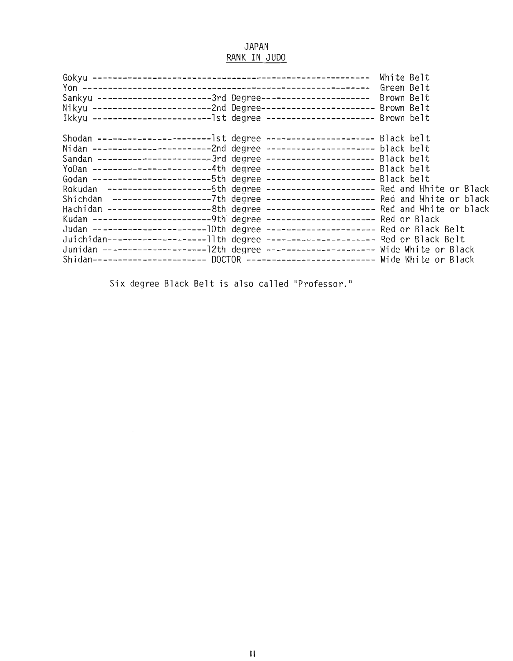### JAPAN RANK IN JUDO

| Sankyu ----------------------3rd Degree--------------------- Brown Belt<br>Nikyu -----------------------2nd Degree---------------------- Brown Belt<br>Ikkyu ---------------------------lst degree ---------------------- Brown belt                                                                                                                                                                                                                                                                                                                                                                                                                                                                                                                                                                                                                                                                                                           |  |
|------------------------------------------------------------------------------------------------------------------------------------------------------------------------------------------------------------------------------------------------------------------------------------------------------------------------------------------------------------------------------------------------------------------------------------------------------------------------------------------------------------------------------------------------------------------------------------------------------------------------------------------------------------------------------------------------------------------------------------------------------------------------------------------------------------------------------------------------------------------------------------------------------------------------------------------------|--|
| Shodan -------------------------lst degree ----------------------- Black belt<br>Nidan -------------------------2nd degree ---------------------- black belt<br>Sandan -----------------------3rd degree ---------------------- Black belt<br>YoDan -----------------------4th degree ---------------------- Black belt<br>Godan ------------------------5th degree ---------------------- Black belt<br>Rokudan ----------------------6th degree ---------------------- Red and White or Black<br>Shichdan --------------------7th degree ---------------------- Red and White or black<br>Hachidan ----------------------8th degree ---------------------- Red and White or black<br>Kudan ------------------------9th degree --------------------- Red or Black<br>Juichidan---------------------11th degree ---------------------- Red or Black Belt<br>Shidan---------------------- DOCTOR -------------------------- Wide White or Black |  |

Six degree Black Belt is also called "Professor."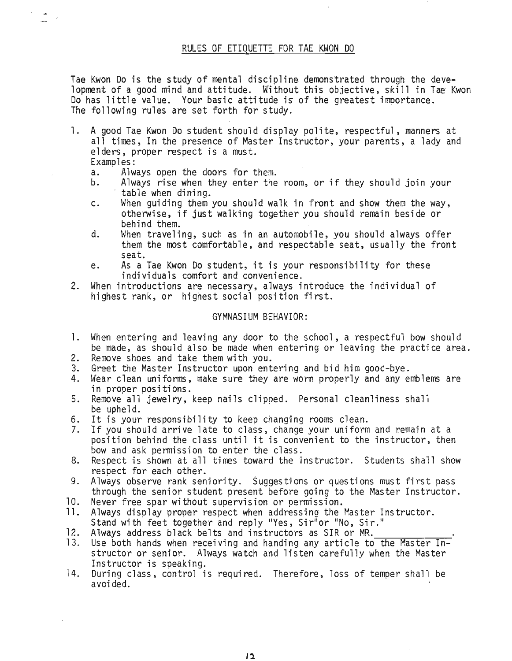### RULES OF ETIQUETTE FOR TAE KWON DO

Tae Kwon Do is the study of mental discipline demonstrated through the development of a good mind and attitude. Without this objective, skill in Tae Kwon Do has little value. Your basic attitude is of the greatest importance. The following rules are set forth for study.

- 1. A good Tae Kwon Do student should display polite, respectful, manners at all times, In the presence of Master Instructor, your parents, a lady and elders, proper respect is a must.
	- Examples:<br>a. Alw
	- a. Always open the doors for them.<br>b. Always rise when they enter the
	- Always rise when they enter the room, or if they should join your table when dining.
	- c. When guiding them you should walk in front and show them the way, otherwise, if just walking together you should remain beside or behind them.
	- d. When traveling, such as in an automobile, you should always offer them the most comfortable, and respectable seat, usually the front seat.
	- e. As a Tae Kwon Do student, it is your responsibility for these individuals comfort and convenience.
- 2. When introductions are necessary, always introduce the individual of highest rank, or highest social position first.

### GYMNASIUM BEHAVIOR:

- 1. When entering and leaving any door to the school, a respectful bow should be made, as should also be made when entering or leaving the practice area.<br>Remove shoes and take them with you.
- 
- 2. Remove shoes and take them with you.<br>3. Greet the Master Instructor upon entering and bid him good-bye.
- 4. Wear clean uniforms, make sure they are worn properly and any emblems are in proper positions.
- 5. Remove all jewelry, keep nails clipped. Personal cleanliness shall be upheld.
- 6. It is your responsibility to keep changing rooms clean.
- If you should arrive late to class, change your uniform and remain at a position behind the class until it is convenient to the instructor, then bow and ask permission to enter the class.
- 8. Respect is shown at all times toward the instructor. Students shall show respect for each other.
- 9. Always observe rank seniority. Suggestions or questions must first pass through the senior student present before going to the Master Instructor.<br>Never free spar without supervision or permission.
- 
- 10. Never free spar without supervision or permission.<br>11. Always display proper respect when addressing the Master Instructor. Stand with feet together and reply "Yes, Sir"or "No, Sir."<br>12. Always address black belts and instructors as SIR or MR.
- 
- 13. Use both hands when receiving and handing any article to the Master Instructor or senior. Always watch and listen carefully when the Master<br>Instructor is speaking.
- 14. During class, control is required. Therefore, loss of temper shall be avoi ded.

*11.*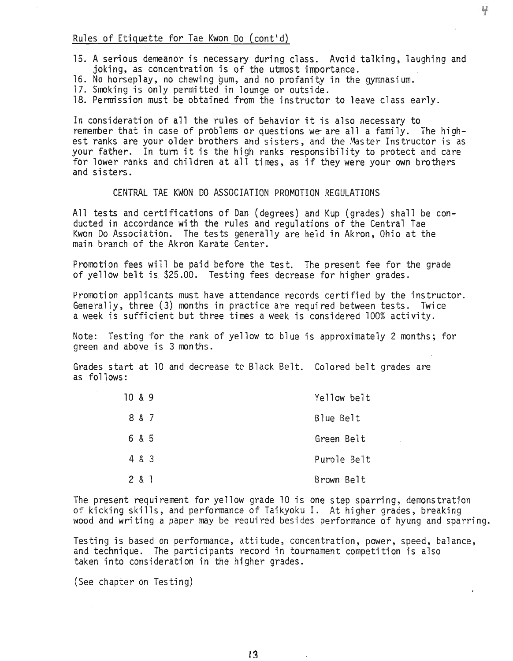### Rules of Etiquette for Tae Kwon Do (cont'd)

- 15. A serious demeanor is necessary during class. Avoid talking, laughing and<br>ioking, as concentration is of the utmost importance.
- 16. No horseplay, no chewing gum, and no profanity in the gymnasium.
- 17. Smoking is only permitted in lounge or outside.
- 18. Permission must be obtained from the instructor to leave class early.

In consideration of all the rules of behavior it is also necessary to remember that in case of problems or questions we are all a family. The highest ranks are your older brothers and sisters, and the Master Instructor is as your father. In turn it is the high ranks responsibility to protect and care for lower ranks and children at all times, as if they were your own brothers and sisters.

### CENTRAL TAE KWON DO ASSOCIATION PROMOTION REGULATIONS

All tests and certifications of Dan (degrees) and Kup (grades) shall be conducted in accordance with the rules and regulations of the Central Tae Kwon Do Association. The tests generally are held in Akron, Ohio at the main branch of the Akron Karate Center.

Promotion fees will be paid before the test. The present fee for the grade of yellow belt is \$25.00. Testing fees decrease for higher grades.

Promotion applicants must have attendance records certified by the instructor. Generally, three (3) months in practice are required between tests. Twice a week is sufficient but three times a week is considered 100% activity.

Note: Testing for the rank of yellow to blue is approximately 2 months; for green and above is 3 months.

Grades start at 10 and decrease to Black Belt. Colored belt grades are as follows:

| 10 & 8 & 9 |       | Yellow belt |
|------------|-------|-------------|
|            | 8 & 7 | Blue Belt   |
|            | 6 & 5 | Green Belt  |
|            | 4 & 3 | Purole Belt |
|            | 2 & 1 | Brown Belt  |

The present requirement for yellow grade 10 is one step sparring, demonstration<br>of kicking skills, and performance of Taikyoku I. At higher grades, breaking wood and writing a paper may be required besides performance of hyung and sparring.

Testing is based on performance, attitude, concentration, power, speed, balance, and technique. The participants record in tournament competition is also taken into consideration in the higher grades.

(See chapter on Testing)